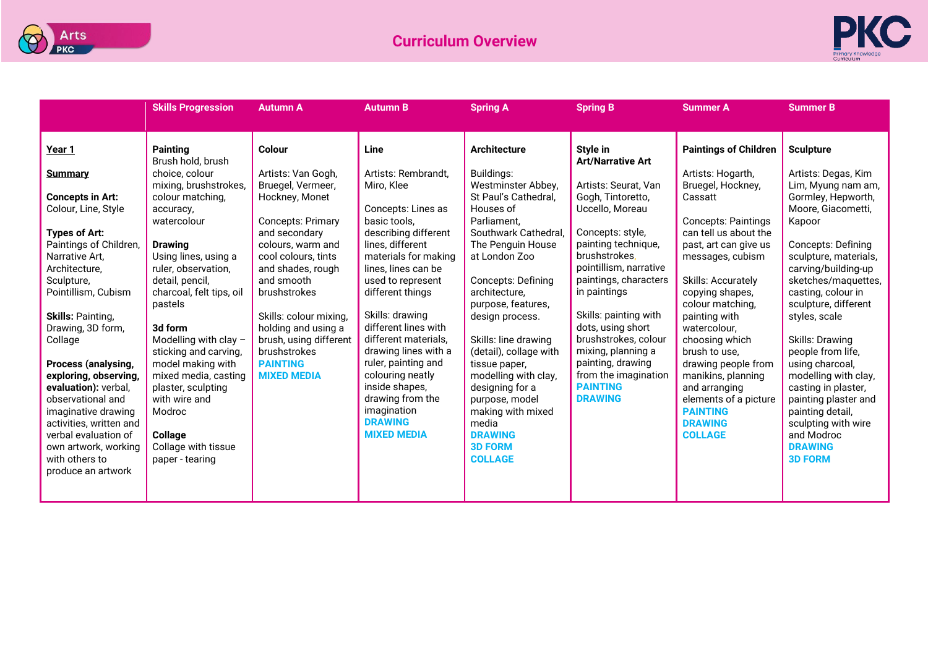



|                                                                                                                                                                                                                                                                                                                                                                                                       | <b>Skills Progression</b>                                                                                                                                                                                                                                                                                                                                                     | <b>Autumn A</b>                                                                                                                                                                                                                                                                                                                           | <b>Autumn B</b>                                                                                                                                                                                                                                                                                                                                                                                                          | <b>Spring A</b>                                                                                                                                                                                                                                                                                                                                                                                         | <b>Spring B</b>                                                                                                                                                                                                                                                                                                                                                           | <b>Summer A</b>                                                                                                                                                                                                                                                                                                                                                                                                    | <b>Summer B</b>                                                                                                                                                                                                                                                                                                                                                                                                                          |
|-------------------------------------------------------------------------------------------------------------------------------------------------------------------------------------------------------------------------------------------------------------------------------------------------------------------------------------------------------------------------------------------------------|-------------------------------------------------------------------------------------------------------------------------------------------------------------------------------------------------------------------------------------------------------------------------------------------------------------------------------------------------------------------------------|-------------------------------------------------------------------------------------------------------------------------------------------------------------------------------------------------------------------------------------------------------------------------------------------------------------------------------------------|--------------------------------------------------------------------------------------------------------------------------------------------------------------------------------------------------------------------------------------------------------------------------------------------------------------------------------------------------------------------------------------------------------------------------|---------------------------------------------------------------------------------------------------------------------------------------------------------------------------------------------------------------------------------------------------------------------------------------------------------------------------------------------------------------------------------------------------------|---------------------------------------------------------------------------------------------------------------------------------------------------------------------------------------------------------------------------------------------------------------------------------------------------------------------------------------------------------------------------|--------------------------------------------------------------------------------------------------------------------------------------------------------------------------------------------------------------------------------------------------------------------------------------------------------------------------------------------------------------------------------------------------------------------|------------------------------------------------------------------------------------------------------------------------------------------------------------------------------------------------------------------------------------------------------------------------------------------------------------------------------------------------------------------------------------------------------------------------------------------|
|                                                                                                                                                                                                                                                                                                                                                                                                       |                                                                                                                                                                                                                                                                                                                                                                               |                                                                                                                                                                                                                                                                                                                                           |                                                                                                                                                                                                                                                                                                                                                                                                                          |                                                                                                                                                                                                                                                                                                                                                                                                         |                                                                                                                                                                                                                                                                                                                                                                           |                                                                                                                                                                                                                                                                                                                                                                                                                    |                                                                                                                                                                                                                                                                                                                                                                                                                                          |
| Year 1                                                                                                                                                                                                                                                                                                                                                                                                | <b>Painting</b><br>Brush hold, brush                                                                                                                                                                                                                                                                                                                                          | Colour                                                                                                                                                                                                                                                                                                                                    | <b>Line</b>                                                                                                                                                                                                                                                                                                                                                                                                              | <b>Architecture</b>                                                                                                                                                                                                                                                                                                                                                                                     | Style in<br><b>Art/Narrative Art</b>                                                                                                                                                                                                                                                                                                                                      | <b>Paintings of Children</b>                                                                                                                                                                                                                                                                                                                                                                                       | <b>Sculpture</b>                                                                                                                                                                                                                                                                                                                                                                                                                         |
| <b>Summary</b><br><b>Concepts in Art:</b><br>Colour, Line, Style<br><b>Types of Art:</b><br>Paintings of Children,<br>Narrative Art.<br>Architecture,<br>Sculpture,<br>Pointillism, Cubism<br><b>Skills: Painting,</b><br>Drawing, 3D form,<br>Collage<br>Process (analysing,<br>exploring, observing,<br>evaluation): verbal,<br>observational and<br>imaginative drawing<br>activities, written and | choice, colour<br>mixing, brushstrokes,<br>colour matching,<br>accuracy,<br>watercolour<br><b>Drawing</b><br>Using lines, using a<br>ruler, observation,<br>detail, pencil,<br>charcoal, felt tips, oil<br>pastels<br>3d form<br>Modelling with clay -<br>sticking and carving,<br>model making with<br>mixed media, casting<br>plaster, sculpting<br>with wire and<br>Modroc | Artists: Van Gogh,<br>Bruegel, Vermeer,<br>Hockney, Monet<br><b>Concepts: Primary</b><br>and secondary<br>colours, warm and<br>cool colours, tints<br>and shades, rough<br>and smooth<br>brushstrokes<br>Skills: colour mixing,<br>holding and using a<br>brush, using different<br>brushstrokes<br><b>PAINTING</b><br><b>MIXED MEDIA</b> | Artists: Rembrandt,<br>Miro, Klee<br>Concepts: Lines as<br>basic tools,<br>describing different<br>lines, different<br>materials for making<br>lines, lines can be<br>used to represent<br>different things<br>Skills: drawing<br>different lines with<br>different materials.<br>drawing lines with a<br>ruler, painting and<br>colouring neatly<br>inside shapes,<br>drawing from the<br>imagination<br><b>DRAWING</b> | Buildings:<br>Westminster Abbey,<br>St Paul's Cathedral.<br>Houses of<br>Parliament.<br>Southwark Cathedral.<br>The Penguin House<br>at London Zoo<br><b>Concepts: Defining</b><br>architecture.<br>purpose, features,<br>design process.<br>Skills: line drawing<br>(detail), collage with<br>tissue paper,<br>modelling with clay,<br>designing for a<br>purpose, model<br>making with mixed<br>media | Artists: Seurat, Van<br>Gogh, Tintoretto,<br>Uccello, Moreau<br>Concepts: style,<br>painting technique,<br>brushstrokes.<br>pointillism, narrative<br>paintings, characters<br>in paintings<br>Skills: painting with<br>dots, using short<br>brushstrokes, colour<br>mixing, planning a<br>painting, drawing<br>from the imagination<br><b>PAINTING</b><br><b>DRAWING</b> | Artists: Hogarth,<br>Bruegel, Hockney,<br>Cassatt<br><b>Concepts: Paintings</b><br>can tell us about the<br>past, art can give us<br>messages, cubism<br>Skills: Accurately<br>copying shapes,<br>colour matching,<br>painting with<br>watercolour,<br>choosing which<br>brush to use.<br>drawing people from<br>manikins, planning<br>and arranging<br>elements of a picture<br><b>PAINTING</b><br><b>DRAWING</b> | Artists: Degas, Kim<br>Lim, Myung nam am,<br>Gormley, Hepworth,<br>Moore, Giacometti,<br>Kapoor<br>Concepts: Defining<br>sculpture, materials,<br>carving/building-up<br>sketches/maquettes,<br>casting, colour in<br>sculpture, different<br>styles, scale<br>Skills: Drawing<br>people from life,<br>using charcoal,<br>modelling with clay,<br>casting in plaster,<br>painting plaster and<br>painting detail,<br>sculpting with wire |
| verbal evaluation of<br>own artwork, working<br>with others to<br>produce an artwork                                                                                                                                                                                                                                                                                                                  | Collage<br>Collage with tissue<br>paper - tearing                                                                                                                                                                                                                                                                                                                             |                                                                                                                                                                                                                                                                                                                                           | <b>MIXED MEDIA</b>                                                                                                                                                                                                                                                                                                                                                                                                       | <b>DRAWING</b><br><b>3D FORM</b><br><b>COLLAGE</b>                                                                                                                                                                                                                                                                                                                                                      |                                                                                                                                                                                                                                                                                                                                                                           | <b>COLLAGE</b>                                                                                                                                                                                                                                                                                                                                                                                                     | and Modroc<br><b>DRAWING</b><br><b>3D FORM</b>                                                                                                                                                                                                                                                                                                                                                                                           |
|                                                                                                                                                                                                                                                                                                                                                                                                       |                                                                                                                                                                                                                                                                                                                                                                               |                                                                                                                                                                                                                                                                                                                                           |                                                                                                                                                                                                                                                                                                                                                                                                                          |                                                                                                                                                                                                                                                                                                                                                                                                         |                                                                                                                                                                                                                                                                                                                                                                           |                                                                                                                                                                                                                                                                                                                                                                                                                    |                                                                                                                                                                                                                                                                                                                                                                                                                                          |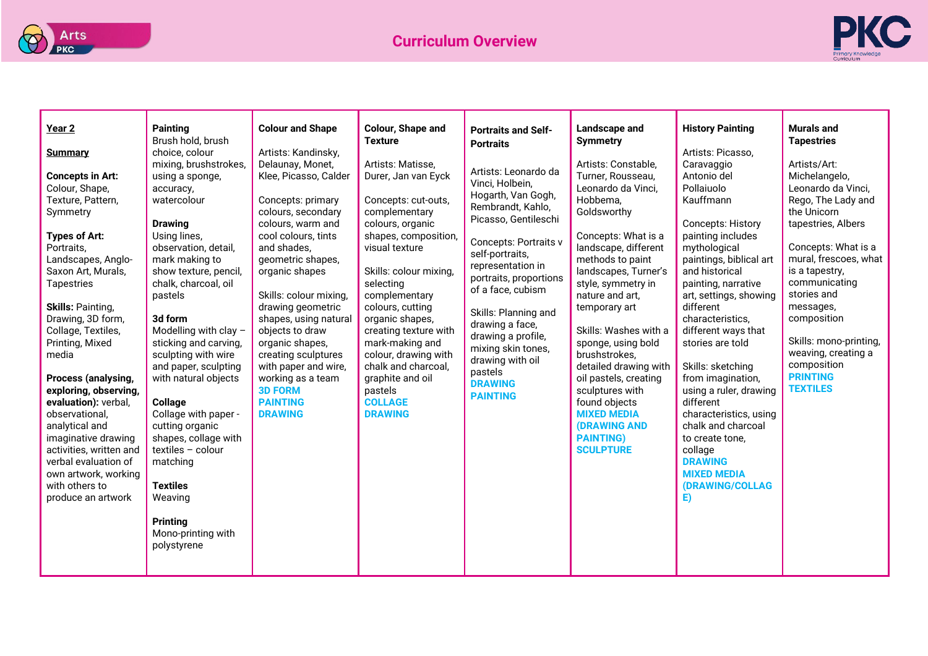



| Year <sub>2</sub><br><b>Summary</b><br><b>Concepts in Art:</b><br>Colour, Shape,<br>Texture, Pattern,<br>Symmetry<br><b>Types of Art:</b><br>Portraits.<br>Landscapes, Anglo-<br>Saxon Art, Murals,<br>Tapestries<br><b>Skills: Painting,</b><br>Drawing, 3D form,<br>Collage, Textiles,<br>Printing, Mixed<br>media<br>Process (analysing,<br>exploring, observing,<br>evaluation): verbal,<br>observational,<br>analytical and<br>imaginative drawing<br>activities, written and<br>verbal evaluation of<br>own artwork, working<br>with others to<br>produce an artwork | <b>Painting</b><br>Brush hold, brush<br>choice, colour<br>mixing, brushstrokes,<br>using a sponge,<br>accuracy,<br>watercolour<br><b>Drawing</b><br>Using lines,<br>observation, detail,<br>mark making to<br>show texture, pencil,<br>chalk, charcoal, oil<br>pastels<br>3d form<br>Modelling with clay -<br>sticking and carving,<br>sculpting with wire<br>and paper, sculpting<br>with natural objects<br><b>Collage</b><br>Collage with paper -<br>cutting organic<br>shapes, collage with<br>textiles - colour<br>matching<br><b>Textiles</b><br>Weaving<br><b>Printing</b><br>Mono-printing with<br>polystyrene | <b>Colour and Shape</b><br>Artists: Kandinsky,<br>Delaunay, Monet,<br>Klee, Picasso, Calder<br>Concepts: primary<br>colours, secondary<br>colours, warm and<br>cool colours, tints<br>and shades,<br>geometric shapes.<br>organic shapes<br>Skills: colour mixing,<br>drawing geometric<br>shapes, using natural<br>objects to draw<br>organic shapes,<br>creating sculptures<br>with paper and wire,<br>working as a team<br><b>3D FORM</b><br><b>PAINTING</b><br><b>DRAWING</b> | Colour, Shape and<br><b>Texture</b><br>Artists: Matisse,<br>Durer, Jan van Eyck<br>Concepts: cut-outs,<br>complementary<br>colours, organic<br>shapes, composition,<br>visual texture<br>Skills: colour mixing,<br>selecting<br>complementary<br>colours, cutting<br>organic shapes,<br>creating texture with<br>mark-making and<br>colour, drawing with<br>chalk and charcoal,<br>graphite and oil<br>pastels<br><b>COLLAGE</b><br><b>DRAWING</b> | <b>Portraits and Self-</b><br><b>Portraits</b><br>Artists: Leonardo da<br>Vinci, Holbein,<br>Hogarth, Van Gogh,<br>Rembrandt, Kahlo,<br>Picasso, Gentileschi<br>Concepts: Portraits v<br>self-portraits,<br>representation in<br>portraits, proportions<br>of a face, cubism<br>Skills: Planning and<br>drawing a face,<br>drawing a profile,<br>mixing skin tones,<br>drawing with oil<br>pastels<br><b>DRAWING</b><br><b>PAINTING</b> | Landscape and<br><b>Symmetry</b><br>Artists: Constable,<br>Turner, Rousseau,<br>Leonardo da Vinci,<br>Hobbema,<br>Goldsworthy<br>Concepts: What is a<br>landscape, different<br>methods to paint<br>landscapes, Turner's<br>style, symmetry in<br>nature and art,<br>temporary art<br>Skills: Washes with a<br>sponge, using bold<br>brushstrokes,<br>detailed drawing with<br>oil pastels, creating<br>sculptures with<br>found objects<br><b>MIXED MEDIA</b><br><b>(DRAWING AND</b><br><b>PAINTING)</b><br><b>SCULPTURE</b> | <b>History Painting</b><br>Artists: Picasso,<br>Caravaggio<br>Antonio del<br>Pollaiuolo<br>Kauffmann<br><b>Concepts: History</b><br>painting includes<br>mythological<br>paintings, biblical art<br>and historical<br>painting, narrative<br>art, settings, showing<br>different<br>characteristics,<br>different ways that<br>stories are told<br>Skills: sketching<br>from imagination,<br>using a ruler, drawing<br>different<br>characteristics, using<br>chalk and charcoal<br>to create tone,<br>collage<br><b>DRAWING</b><br><b>MIXED MEDIA</b><br>(DRAWING/COLLAG<br>E) | <b>Murals and</b><br><b>Tapestries</b><br>Artists/Art:<br>Michelangelo,<br>Leonardo da Vinci,<br>Rego, The Lady and<br>the Unicorn<br>tapestries, Albers<br>Concepts: What is a<br>mural, frescoes, what<br>is a tapestry,<br>communicating<br>stories and<br>messages,<br>composition<br>Skills: mono-printing,<br>weaving, creating a<br>composition<br><b>PRINTING</b><br><b>TEXTILES</b> |
|----------------------------------------------------------------------------------------------------------------------------------------------------------------------------------------------------------------------------------------------------------------------------------------------------------------------------------------------------------------------------------------------------------------------------------------------------------------------------------------------------------------------------------------------------------------------------|------------------------------------------------------------------------------------------------------------------------------------------------------------------------------------------------------------------------------------------------------------------------------------------------------------------------------------------------------------------------------------------------------------------------------------------------------------------------------------------------------------------------------------------------------------------------------------------------------------------------|-----------------------------------------------------------------------------------------------------------------------------------------------------------------------------------------------------------------------------------------------------------------------------------------------------------------------------------------------------------------------------------------------------------------------------------------------------------------------------------|----------------------------------------------------------------------------------------------------------------------------------------------------------------------------------------------------------------------------------------------------------------------------------------------------------------------------------------------------------------------------------------------------------------------------------------------------|-----------------------------------------------------------------------------------------------------------------------------------------------------------------------------------------------------------------------------------------------------------------------------------------------------------------------------------------------------------------------------------------------------------------------------------------|-------------------------------------------------------------------------------------------------------------------------------------------------------------------------------------------------------------------------------------------------------------------------------------------------------------------------------------------------------------------------------------------------------------------------------------------------------------------------------------------------------------------------------|---------------------------------------------------------------------------------------------------------------------------------------------------------------------------------------------------------------------------------------------------------------------------------------------------------------------------------------------------------------------------------------------------------------------------------------------------------------------------------------------------------------------------------------------------------------------------------|----------------------------------------------------------------------------------------------------------------------------------------------------------------------------------------------------------------------------------------------------------------------------------------------------------------------------------------------------------------------------------------------|
|----------------------------------------------------------------------------------------------------------------------------------------------------------------------------------------------------------------------------------------------------------------------------------------------------------------------------------------------------------------------------------------------------------------------------------------------------------------------------------------------------------------------------------------------------------------------------|------------------------------------------------------------------------------------------------------------------------------------------------------------------------------------------------------------------------------------------------------------------------------------------------------------------------------------------------------------------------------------------------------------------------------------------------------------------------------------------------------------------------------------------------------------------------------------------------------------------------|-----------------------------------------------------------------------------------------------------------------------------------------------------------------------------------------------------------------------------------------------------------------------------------------------------------------------------------------------------------------------------------------------------------------------------------------------------------------------------------|----------------------------------------------------------------------------------------------------------------------------------------------------------------------------------------------------------------------------------------------------------------------------------------------------------------------------------------------------------------------------------------------------------------------------------------------------|-----------------------------------------------------------------------------------------------------------------------------------------------------------------------------------------------------------------------------------------------------------------------------------------------------------------------------------------------------------------------------------------------------------------------------------------|-------------------------------------------------------------------------------------------------------------------------------------------------------------------------------------------------------------------------------------------------------------------------------------------------------------------------------------------------------------------------------------------------------------------------------------------------------------------------------------------------------------------------------|---------------------------------------------------------------------------------------------------------------------------------------------------------------------------------------------------------------------------------------------------------------------------------------------------------------------------------------------------------------------------------------------------------------------------------------------------------------------------------------------------------------------------------------------------------------------------------|----------------------------------------------------------------------------------------------------------------------------------------------------------------------------------------------------------------------------------------------------------------------------------------------------------------------------------------------------------------------------------------------|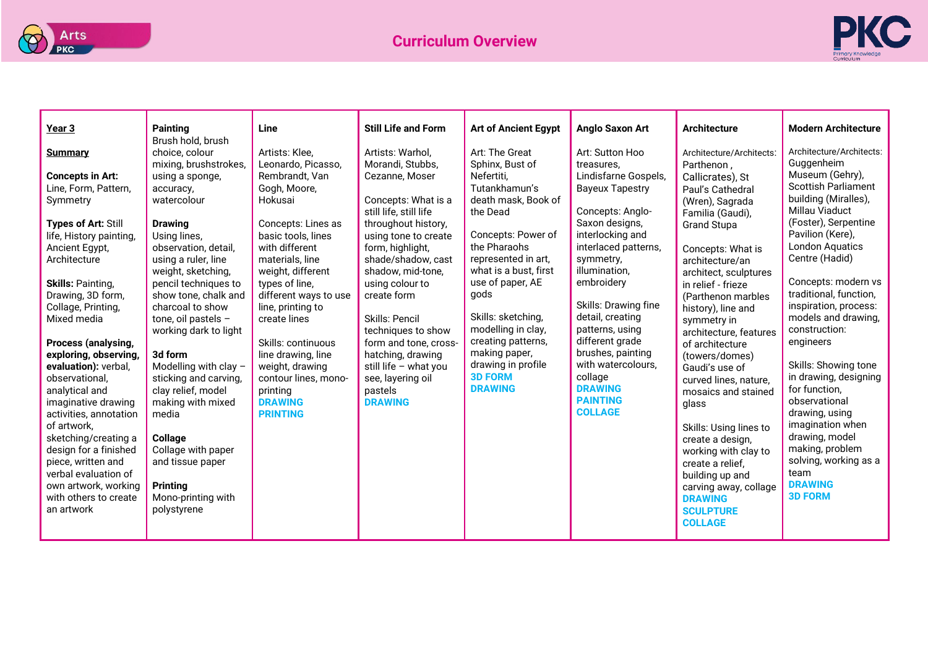



| Year <sub>3</sub>                   | <b>Painting</b>                         | Line                              | <b>Still Life and Form</b>                    | <b>Art of Ancient Egypt</b>     | <b>Anglo Saxon Art</b>            | <b>Architecture</b>                        | <b>Modern Architecture</b>                      |
|-------------------------------------|-----------------------------------------|-----------------------------------|-----------------------------------------------|---------------------------------|-----------------------------------|--------------------------------------------|-------------------------------------------------|
|                                     | Brush hold, brush                       |                                   |                                               |                                 |                                   |                                            |                                                 |
| <b>Summary</b>                      | choice, colour                          | Artists: Klee.                    | Artists: Warhol,                              | Art: The Great                  | Art: Sutton Hoo                   | Architecture/Architects:                   | Architecture/Architects:                        |
|                                     | mixing, brushstrokes,                   | Leonardo, Picasso,                | Morandi, Stubbs,                              | Sphinx, Bust of                 | treasures.                        | Parthenon,                                 | Guggenheim                                      |
| <b>Concepts in Art:</b>             | using a sponge,                         | Rembrandt, Van                    | Cezanne, Moser                                | Nefertiti.                      | Lindisfarne Gospels,              | Callicrates), St                           | Museum (Gehry),<br><b>Scottish Parliament</b>   |
| Line, Form, Pattern,                | accuracy,                               | Gogh, Moore,                      |                                               | Tutankhamun's                   | <b>Bayeux Tapestry</b>            | Paul's Cathedral                           | building (Miralles),                            |
| Symmetry                            | watercolour                             | Hokusai                           | Concepts: What is a<br>still life, still life | death mask, Book of<br>the Dead | Concepts: Anglo-                  | (Wren), Sagrada                            | Millau Viaduct                                  |
| Types of Art: Still                 | <b>Drawing</b>                          | Concepts: Lines as                | throughout history,                           |                                 | Saxon designs,                    | Familia (Gaudi),<br><b>Grand Stupa</b>     | (Foster), Serpentine                            |
| life, History painting,             | Using lines,                            | basic tools, lines                | using tone to create                          | Concepts: Power of              | interlocking and                  |                                            | Pavilion (Kere),                                |
| Ancient Egypt,                      | observation, detail,                    | with different                    | form, highlight,                              | the Pharaohs                    | interlaced patterns,              | Concepts: What is                          | <b>London Aquatics</b>                          |
| Architecture                        | using a ruler, line                     | materials, line                   | shade/shadow, cast                            | represented in art.             | symmetry,                         | architecture/an                            | Centre (Hadid)                                  |
|                                     | weight, sketching,                      | weight, different                 | shadow, mid-tone.                             | what is a bust, first           | illumination,                     | architect, sculptures                      |                                                 |
| <b>Skills: Painting,</b>            | pencil techniques to                    | types of line,                    | using colour to                               | use of paper, AE                | embroidery                        | in relief - frieze                         | Concepts: modern vs                             |
| Drawing, 3D form,                   | show tone, chalk and                    | different ways to use             | create form                                   | gods                            | Skills: Drawing fine              | (Parthenon marbles                         | traditional, function,<br>inspiration, process: |
| Collage, Printing,<br>Mixed media   | charcoal to show<br>tone, oil pastels - | line, printing to<br>create lines | <b>Skills: Pencil</b>                         | Skills: sketching,              | detail, creating                  | history), line and                         | models and drawing,                             |
|                                     | working dark to light                   |                                   | techniques to show                            | modelling in clay,              | patterns, using                   | symmetry in<br>architecture, features      | construction:                                   |
| Process (analysing,                 |                                         | Skills: continuous                | form and tone, cross-                         | creating patterns,              | different grade                   | of architecture                            | engineers                                       |
| exploring, observing,               | 3d form                                 | line drawing, line                | hatching, drawing                             | making paper,                   | brushes, painting                 | (towers/domes)                             |                                                 |
| evaluation): verbal,                | Modelling with clay -                   | weight, drawing                   | still life $-$ what you                       | drawing in profile              | with watercolours,                | Gaudi's use of                             | Skills: Showing tone                            |
| observational,                      | sticking and carving,                   | contour lines, mono-              | see, layering oil                             | <b>3D FORM</b>                  | collage                           | curved lines, nature,                      | in drawing, designing                           |
| analytical and                      | clay relief, model                      | printing                          | pastels                                       | <b>DRAWING</b>                  | <b>DRAWING</b>                    | mosaics and stained                        | for function,                                   |
| imaginative drawing                 | making with mixed                       | <b>DRAWING</b>                    | <b>DRAWING</b>                                |                                 | <b>PAINTING</b><br><b>COLLAGE</b> | glass                                      | observational                                   |
| activities, annotation              | media                                   | <b>PRINTING</b>                   |                                               |                                 |                                   |                                            | drawing, using<br>imagination when              |
| of artwork,<br>sketching/creating a | Collage                                 |                                   |                                               |                                 |                                   | Skills: Using lines to<br>create a design, | drawing, model                                  |
| design for a finished               | Collage with paper                      |                                   |                                               |                                 |                                   | working with clay to                       | making, problem                                 |
| piece, written and                  | and tissue paper                        |                                   |                                               |                                 |                                   | create a relief,                           | solving, working as a                           |
| verbal evaluation of                |                                         |                                   |                                               |                                 |                                   | building up and                            | team                                            |
| own artwork, working                | <b>Printing</b>                         |                                   |                                               |                                 |                                   | carving away, collage                      | <b>DRAWING</b>                                  |
| with others to create               | Mono-printing with                      |                                   |                                               |                                 |                                   | <b>DRAWING</b>                             | <b>3D FORM</b>                                  |
| an artwork                          | polystyrene                             |                                   |                                               |                                 |                                   | <b>SCULPTURE</b>                           |                                                 |
|                                     |                                         |                                   |                                               |                                 |                                   | <b>COLLAGE</b>                             |                                                 |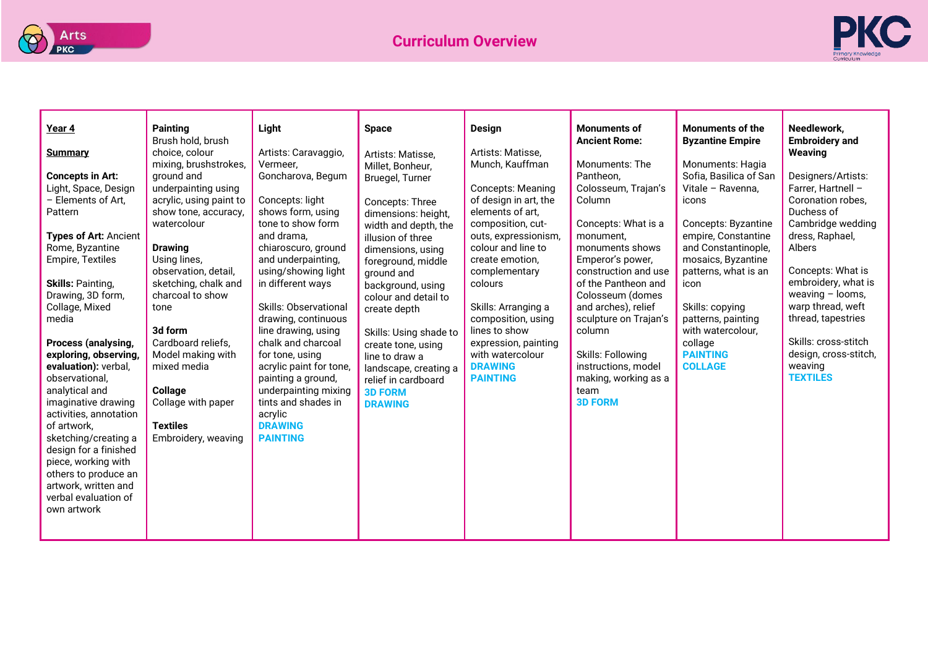



| Year 4<br><b>Summary</b><br><b>Concepts in Art:</b><br>Light, Space, Design<br>- Elements of Art,<br>Pattern<br><b>Types of Art: Ancient</b><br>Rome, Byzantine<br><b>Empire, Textiles</b><br><b>Skills: Painting,</b><br>Drawing, 3D form,<br>Collage, Mixed<br>media<br>Process (analysing,<br>exploring, observing,<br>evaluation): verbal,<br>observational,<br>analytical and<br>imaginative drawing<br>activities, annotation<br>of artwork.<br>sketching/creating a<br>design for a finished<br>piece, working with<br>others to produce an<br>artwork, written and<br>verbal evaluation of<br>own artwork | <b>Painting</b><br>Brush hold, brush<br>choice, colour<br>mixing, brushstrokes,<br>ground and<br>underpainting using<br>acrylic, using paint to<br>show tone, accuracy,<br>watercolour<br><b>Drawing</b><br>Using lines,<br>observation, detail,<br>sketching, chalk and<br>charcoal to show<br>tone<br>3d form<br>Cardboard reliefs,<br>Model making with<br>mixed media<br>Collage<br>Collage with paper<br><b>Textiles</b><br>Embroidery, weaving | Light<br>Artists: Caravaggio,<br>Vermeer,<br>Goncharova, Begum<br>Concepts: light<br>shows form, using<br>tone to show form<br>and drama,<br>chiaroscuro, ground<br>and underpainting,<br>using/showing light<br>in different ways<br><b>Skills: Observational</b><br>drawing, continuous<br>line drawing, using<br>chalk and charcoal<br>for tone, using<br>acrylic paint for tone,<br>painting a ground,<br>underpainting mixing<br>tints and shades in<br>acrylic<br><b>DRAWING</b><br><b>PAINTING</b> | <b>Space</b><br>Artists: Matisse,<br>Millet, Bonheur,<br>Bruegel, Turner<br>Concepts: Three<br>dimensions: height,<br>width and depth, the<br>illusion of three<br>dimensions, using<br>foreground, middle<br>ground and<br>background, using<br>colour and detail to<br>create depth<br>Skills: Using shade to<br>create tone, using<br>line to draw a<br>landscape, creating a<br>relief in cardboard<br><b>3D FORM</b><br><b>DRAWING</b> | <b>Design</b><br>Artists: Matisse,<br>Munch, Kauffman<br><b>Concepts: Meaning</b><br>of design in art, the<br>elements of art,<br>composition, cut-<br>outs, expressionism,<br>colour and line to<br>create emotion,<br>complementary<br>colours<br>Skills: Arranging a<br>composition, using<br>lines to show<br>expression, painting<br>with watercolour<br><b>DRAWING</b><br><b>PAINTING</b> | <b>Monuments of</b><br><b>Ancient Rome:</b><br>Monuments: The<br>Pantheon.<br>Colosseum, Trajan's<br>Column<br>Concepts: What is a<br>monument,<br>monuments shows<br>Emperor's power,<br>construction and use<br>of the Pantheon and<br>Colosseum (domes<br>and arches), relief<br>sculpture on Trajan's<br>column<br><b>Skills: Following</b><br>instructions, model<br>making, working as a<br>team<br><b>3D FORM</b> | <b>Monuments of the</b><br><b>Byzantine Empire</b><br>Monuments: Hagia<br>Sofia, Basilica of San<br>Vitale - Ravenna,<br>icons<br>Concepts: Byzantine<br>empire, Constantine<br>and Constantinople,<br>mosaics, Byzantine<br>patterns, what is an<br>icon<br>Skills: copying<br>patterns, painting<br>with watercolour,<br>collage<br><b>PAINTING</b><br><b>COLLAGE</b> | Needlework,<br><b>Embroidery and</b><br>Weaving<br>Designers/Artists:<br>Farrer, Hartnell -<br>Coronation robes,<br>Duchess of<br>Cambridge wedding<br>dress, Raphael,<br>Albers<br>Concepts: What is<br>embroidery, what is<br>weaving $-$ looms,<br>warp thread, weft<br>thread, tapestries<br>Skills: cross-stitch<br>design, cross-stitch,<br>weaving<br><b>TEXTILES</b> |
|-------------------------------------------------------------------------------------------------------------------------------------------------------------------------------------------------------------------------------------------------------------------------------------------------------------------------------------------------------------------------------------------------------------------------------------------------------------------------------------------------------------------------------------------------------------------------------------------------------------------|------------------------------------------------------------------------------------------------------------------------------------------------------------------------------------------------------------------------------------------------------------------------------------------------------------------------------------------------------------------------------------------------------------------------------------------------------|-----------------------------------------------------------------------------------------------------------------------------------------------------------------------------------------------------------------------------------------------------------------------------------------------------------------------------------------------------------------------------------------------------------------------------------------------------------------------------------------------------------|---------------------------------------------------------------------------------------------------------------------------------------------------------------------------------------------------------------------------------------------------------------------------------------------------------------------------------------------------------------------------------------------------------------------------------------------|-------------------------------------------------------------------------------------------------------------------------------------------------------------------------------------------------------------------------------------------------------------------------------------------------------------------------------------------------------------------------------------------------|--------------------------------------------------------------------------------------------------------------------------------------------------------------------------------------------------------------------------------------------------------------------------------------------------------------------------------------------------------------------------------------------------------------------------|-------------------------------------------------------------------------------------------------------------------------------------------------------------------------------------------------------------------------------------------------------------------------------------------------------------------------------------------------------------------------|------------------------------------------------------------------------------------------------------------------------------------------------------------------------------------------------------------------------------------------------------------------------------------------------------------------------------------------------------------------------------|
|-------------------------------------------------------------------------------------------------------------------------------------------------------------------------------------------------------------------------------------------------------------------------------------------------------------------------------------------------------------------------------------------------------------------------------------------------------------------------------------------------------------------------------------------------------------------------------------------------------------------|------------------------------------------------------------------------------------------------------------------------------------------------------------------------------------------------------------------------------------------------------------------------------------------------------------------------------------------------------------------------------------------------------------------------------------------------------|-----------------------------------------------------------------------------------------------------------------------------------------------------------------------------------------------------------------------------------------------------------------------------------------------------------------------------------------------------------------------------------------------------------------------------------------------------------------------------------------------------------|---------------------------------------------------------------------------------------------------------------------------------------------------------------------------------------------------------------------------------------------------------------------------------------------------------------------------------------------------------------------------------------------------------------------------------------------|-------------------------------------------------------------------------------------------------------------------------------------------------------------------------------------------------------------------------------------------------------------------------------------------------------------------------------------------------------------------------------------------------|--------------------------------------------------------------------------------------------------------------------------------------------------------------------------------------------------------------------------------------------------------------------------------------------------------------------------------------------------------------------------------------------------------------------------|-------------------------------------------------------------------------------------------------------------------------------------------------------------------------------------------------------------------------------------------------------------------------------------------------------------------------------------------------------------------------|------------------------------------------------------------------------------------------------------------------------------------------------------------------------------------------------------------------------------------------------------------------------------------------------------------------------------------------------------------------------------|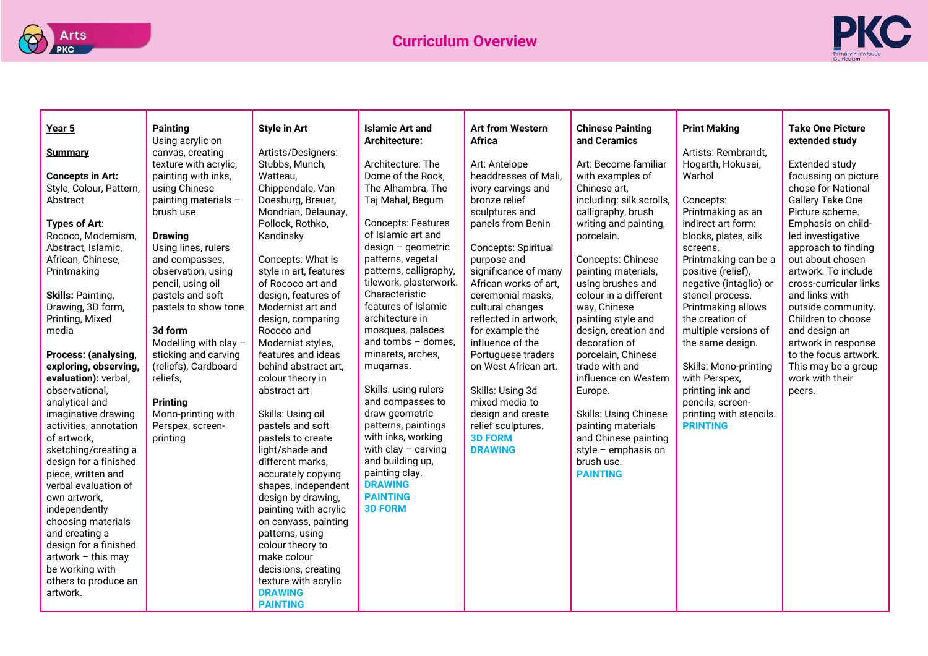



| Year 5                              | <b>Painting</b>       | <b>Style in Art</b>    | <b>Islamic Art and</b>    | <b>Art from Western</b> | <b>Chinese Painting</b>      | <b>Print Making</b>              | <b>Take One Picture</b>                 |
|-------------------------------------|-----------------------|------------------------|---------------------------|-------------------------|------------------------------|----------------------------------|-----------------------------------------|
|                                     | Using acrylic on      |                        | <b>Architecture:</b>      | Africa                  | and Ceramics                 |                                  | extended study                          |
| <b>Summary</b>                      | canvas, creating      | Artists/Designers:     |                           |                         |                              | Artists: Rembrandt,              |                                         |
|                                     | texture with acrylic, | Stubbs, Munch,         | Architecture: The         | Art: Antelope           | Art: Become familiar         | Hogarth, Hokusai,                | Extended study                          |
| <b>Concepts in Art:</b>             | painting with inks,   | Watteau,               | Dome of the Rock.         | headdresses of Mali,    | with examples of             | Warhol                           | focussing on picture                    |
| Style, Colour, Pattern,             | using Chinese         | Chippendale, Van       | The Alhambra, The         | ivory carvings and      | Chinese art,                 |                                  | chose for National                      |
| Abstract                            | painting materials -  | Doesburg, Breuer,      | Taj Mahal, Begum          | bronze relief           | including: silk scrolls,     | Concepts:                        | Gallery Take One                        |
|                                     | brush use             | Mondrian, Delaunay,    | <b>Concepts: Features</b> | sculptures and          | calligraphy, brush           | Printmaking as an                | Picture scheme.                         |
| Types of Art:<br>Rococo, Modernism, | <b>Drawing</b>        | Pollock, Rothko,       | of Islamic art and        | panels from Benin       | writing and painting,        | indirect art form:               | Emphasis on child-<br>led investigative |
| Abstract, Islamic,                  | Using lines, rulers   | Kandinsky              | $design - geometric$      | Concepts: Spiritual     | porcelain.                   | blocks, plates, silk<br>screens. | approach to finding                     |
| African, Chinese,                   | and compasses,        | Concepts: What is      | patterns, vegetal         | purpose and             | Concepts: Chinese            | Printmaking can be a             | out about chosen                        |
| Printmaking                         | observation, using    | style in art, features | patterns, calligraphy,    | significance of many    | painting materials,          | positive (relief),               | artwork. To include                     |
|                                     | pencil, using oil     | of Rococo art and      | tilework, plasterwork.    | African works of art,   | using brushes and            | negative (intaglio) or           | cross-curricular links                  |
| <b>Skills: Painting,</b>            | pastels and soft      | design, features of    | Characteristic            | ceremonial masks,       | colour in a different        | stencil process.                 | and links with                          |
| Drawing, 3D form,                   | pastels to show tone  | Modernist art and      | features of Islamic       | cultural changes        | way, Chinese                 | Printmaking allows               | outside community.                      |
| Printing, Mixed                     |                       | design, comparing      | architecture in           | reflected in artwork,   | painting style and           | the creation of                  | Children to choose                      |
| media                               | 3d form               | Rococo and             | mosques, palaces          | for example the         | design, creation and         | multiple versions of             | and design an                           |
|                                     | Modelling with clay - | Modernist styles,      | and tombs $-$ domes,      | influence of the        | decoration of                | the same design.                 | artwork in response                     |
| Process: (analysing,                | sticking and carving  | features and ideas     | minarets, arches,         | Portuguese traders      | porcelain, Chinese           |                                  | to the focus artwork.                   |
| exploring, observing,               | (reliefs), Cardboard  | behind abstract art.   | muqarnas.                 | on West African art.    | trade with and               | Skills: Mono-printing            | This may be a group                     |
| evaluation): verbal,                | reliefs,              | colour theory in       |                           |                         | influence on Western         | with Perspex,                    | work with their                         |
| observational.                      |                       | abstract art           | Skills: using rulers      | Skills: Using 3d        | Europe.                      | printing ink and                 | peers.                                  |
| analytical and                      | Printing              |                        | and compasses to          | mixed media to          |                              | pencils, screen-                 |                                         |
| imaginative drawing                 | Mono-printing with    | Skills: Using oil      | draw geometric            | design and create       | <b>Skills: Using Chinese</b> | printing with stencils.          |                                         |
| activities, annotation              | Perspex, screen-      | pastels and soft       | patterns, paintings       | relief sculptures.      | painting materials           | <b>PRINTING</b>                  |                                         |
| of artwork,                         | printing              | pastels to create      | with inks, working        | <b>3D FORM</b>          | and Chinese painting         |                                  |                                         |
| sketching/creating a                |                       | light/shade and        | with clay $-$ carving     | <b>DRAWING</b>          | style $-$ emphasis on        |                                  |                                         |
| design for a finished               |                       | different marks,       | and building up,          |                         | brush use.                   |                                  |                                         |
| piece, written and                  |                       | accurately copying     | painting clay.            |                         | <b>PAINTING</b>              |                                  |                                         |
| verbal evaluation of                |                       | shapes, independent    | <b>DRAWING</b>            |                         |                              |                                  |                                         |
| own artwork.                        |                       | design by drawing,     | <b>PAINTING</b>           |                         |                              |                                  |                                         |
| independently                       |                       | painting with acrylic  | <b>3D FORM</b>            |                         |                              |                                  |                                         |
| choosing materials                  |                       | on canvass, painting   |                           |                         |                              |                                  |                                         |
| and creating a                      |                       | patterns, using        |                           |                         |                              |                                  |                                         |
| design for a finished               |                       | colour theory to       |                           |                         |                              |                                  |                                         |
| artwork - this may                  |                       | make colour            |                           |                         |                              |                                  |                                         |
| be working with                     |                       | decisions, creating    |                           |                         |                              |                                  |                                         |
| others to produce an                |                       | texture with acrylic   |                           |                         |                              |                                  |                                         |
| artwork.                            |                       | <b>DRAWING</b>         |                           |                         |                              |                                  |                                         |
|                                     |                       | <b>PAINTING</b>        |                           |                         |                              |                                  |                                         |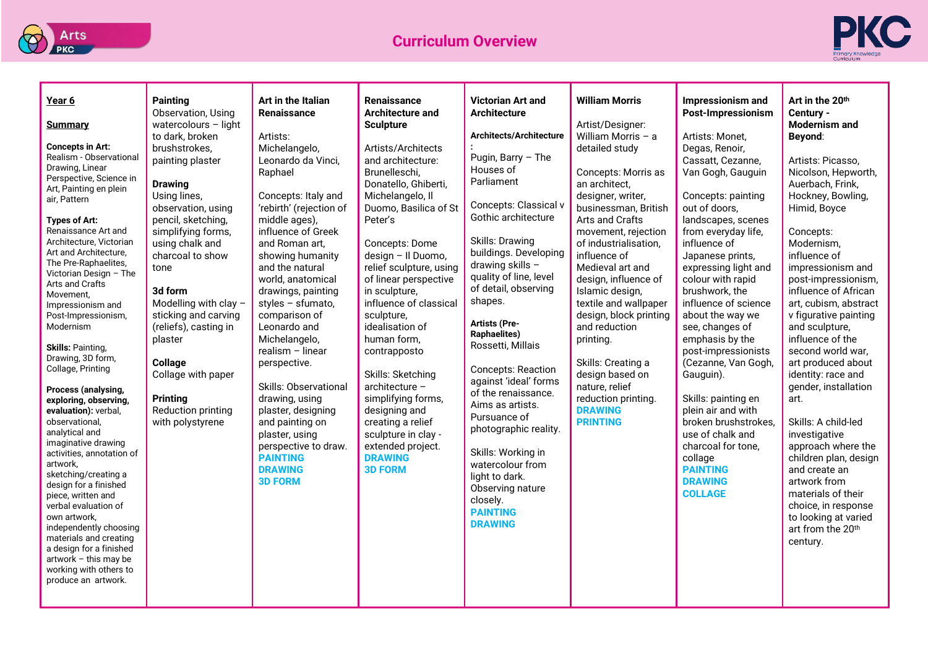



| Year 6<br><b>Summary</b><br><b>Concepts in Art:</b><br>Realism - Observational<br>Drawing, Linear<br>Perspective, Science in<br>Art, Painting en plein<br>air, Pattern<br>Types of Art:<br>Renaissance Art and<br>Architecture, Victorian<br>Art and Architecture,<br>The Pre-Raphaelites.<br>Victorian Design - The<br>Arts and Crafts<br>Movement,<br>Impressionism and<br>Post-Impressionism,<br>Modernism<br><b>Skills: Painting.</b><br>Drawing, 3D form,<br>Collage, Printing<br>Process (analysing,<br>exploring, observing,<br>evaluation): verbal,<br>observational,<br>analytical and<br>imaginative drawing<br>activities, annotation of<br>artwork,<br>sketching/creating a<br>design for a finished<br>piece, written and<br>verbal evaluation of<br>own artwork.<br>independently choosing<br>materials and creating<br>a design for a finished<br>$artwork - this may be$<br>working with others to<br>produce an artwork. | <b>Painting</b><br>Observation, Using<br>watercolours - light<br>to dark, broken<br>brushstrokes,<br>painting plaster<br><b>Drawing</b><br>Using lines,<br>observation, using<br>pencil, sketching,<br>simplifying forms,<br>using chalk and<br>charcoal to show<br>tone<br>3d form<br>Modelling with clay -<br>sticking and carving<br>(reliefs), casting in<br>plaster<br>Collage<br>Collage with paper<br><b>Printing</b><br><b>Reduction printing</b><br>with polystyrene | Art in the Italian<br><b>Renaissance</b><br>Artists:<br>Michelangelo,<br>Leonardo da Vinci,<br>Raphael<br>Concepts: Italy and<br>'rebirth' (rejection of<br>middle ages),<br>influence of Greek<br>and Roman art,<br>showing humanity<br>and the natural<br>world, anatomical<br>drawings, painting<br>styles $-$ sfumato,<br>comparison of<br>Leonardo and<br>Michelangelo,<br>realism - linear<br>perspective.<br><b>Skills: Observational</b><br>drawing, using<br>plaster, designing<br>and painting on<br>plaster, using<br>perspective to draw.<br><b>PAINTING</b><br><b>DRAWING</b><br><b>3D FORM</b> | <b>Renaissance</b><br><b>Architecture and</b><br><b>Sculpture</b><br>Artists/Architects<br>and architecture:<br>Brunelleschi,<br>Donatello, Ghiberti,<br>Michelangelo, Il<br>Duomo, Basilica of St<br>Peter's<br>Concepts: Dome<br>design - Il Duomo,<br>relief sculpture, using<br>of linear perspective<br>in sculpture,<br>influence of classical<br>sculpture,<br>idealisation of<br>human form,<br>contrapposto<br>Skills: Sketching<br>architecture -<br>simplifying forms,<br>designing and<br>creating a relief<br>sculpture in clay -<br>extended project.<br><b>DRAWING</b><br><b>3D FORM</b> | <b>Victorian Art and</b><br><b>Architecture</b><br><b>Architects/Architecture</b><br>Pugin, Barry $-$ The<br>Houses of<br>Parliament<br>Concepts: Classical v<br>Gothic architecture<br>Skills: Drawing<br>buildings. Developing<br>drawing skills -<br>quality of line, level<br>of detail, observing<br>shapes.<br><b>Artists (Pre-</b><br><b>Raphaelites)</b><br>Rossetti, Millais<br><b>Concepts: Reaction</b><br>against 'ideal' forms<br>of the renaissance.<br>Aims as artists.<br>Pursuance of<br>photographic reality.<br>Skills: Working in<br>watercolour from<br>light to dark.<br>Observing nature<br>closely.<br><b>PAINTING</b><br><b>DRAWING</b> | <b>William Morris</b><br>Artist/Designer:<br>William Morris $-$ a<br>detailed study<br>Concepts: Morris as<br>an architect,<br>designer, writer,<br>businessman, British<br>Arts and Crafts<br>movement, rejection<br>of industrialisation,<br>influence of<br>Medieval art and<br>design, influence of<br>Islamic design,<br>textile and wallpaper<br>design, block printing<br>and reduction<br>printing.<br>Skills: Creating a<br>design based on<br>nature, relief<br>reduction printing.<br><b>DRAWING</b><br><b>PRINTING</b> | Impressionism and<br><b>Post-Impressionism</b><br>Artists: Monet,<br>Degas, Renoir,<br>Cassatt, Cezanne,<br>Van Gogh, Gauguin<br>Concepts: painting<br>out of doors,<br>landscapes, scenes<br>from everyday life,<br>influence of<br>Japanese prints,<br>expressing light and<br>colour with rapid<br>brushwork, the<br>influence of science<br>about the way we<br>see, changes of<br>emphasis by the<br>post-impressionists<br>(Cezanne, Van Gogh,<br>Gauguin).<br>Skills: painting en<br>plein air and with<br>broken brushstrokes,<br>use of chalk and<br>charcoal for tone,<br>collage<br><b>PAINTING</b><br><b>DRAWING</b><br><b>COLLAGE</b> | Art in the 20 <sup>th</sup><br>Century -<br><b>Modernism and</b><br>Beyond:<br>Artists: Picasso,<br>Nicolson, Hepworth,<br>Auerbach, Frink,<br>Hockney, Bowling,<br>Himid, Boyce<br>Concepts:<br>Modernism,<br>influence of<br>impressionism and<br>post-impressionism,<br>influence of African<br>art, cubism, abstract<br>v figurative painting<br>and sculpture,<br>influence of the<br>second world war,<br>art produced about<br>identity: race and<br>gender, installation<br>art.<br>Skills: A child-led<br>investigative<br>approach where the<br>children plan, design<br>and create an<br>artwork from<br>materials of their<br>choice, in response<br>to looking at varied<br>art from the 20th<br>century. |
|-------------------------------------------------------------------------------------------------------------------------------------------------------------------------------------------------------------------------------------------------------------------------------------------------------------------------------------------------------------------------------------------------------------------------------------------------------------------------------------------------------------------------------------------------------------------------------------------------------------------------------------------------------------------------------------------------------------------------------------------------------------------------------------------------------------------------------------------------------------------------------------------------------------------------------------------|-------------------------------------------------------------------------------------------------------------------------------------------------------------------------------------------------------------------------------------------------------------------------------------------------------------------------------------------------------------------------------------------------------------------------------------------------------------------------------|--------------------------------------------------------------------------------------------------------------------------------------------------------------------------------------------------------------------------------------------------------------------------------------------------------------------------------------------------------------------------------------------------------------------------------------------------------------------------------------------------------------------------------------------------------------------------------------------------------------|---------------------------------------------------------------------------------------------------------------------------------------------------------------------------------------------------------------------------------------------------------------------------------------------------------------------------------------------------------------------------------------------------------------------------------------------------------------------------------------------------------------------------------------------------------------------------------------------------------|------------------------------------------------------------------------------------------------------------------------------------------------------------------------------------------------------------------------------------------------------------------------------------------------------------------------------------------------------------------------------------------------------------------------------------------------------------------------------------------------------------------------------------------------------------------------------------------------------------------------------------------------------------------|------------------------------------------------------------------------------------------------------------------------------------------------------------------------------------------------------------------------------------------------------------------------------------------------------------------------------------------------------------------------------------------------------------------------------------------------------------------------------------------------------------------------------------|----------------------------------------------------------------------------------------------------------------------------------------------------------------------------------------------------------------------------------------------------------------------------------------------------------------------------------------------------------------------------------------------------------------------------------------------------------------------------------------------------------------------------------------------------------------------------------------------------------------------------------------------------|------------------------------------------------------------------------------------------------------------------------------------------------------------------------------------------------------------------------------------------------------------------------------------------------------------------------------------------------------------------------------------------------------------------------------------------------------------------------------------------------------------------------------------------------------------------------------------------------------------------------------------------------------------------------------------------------------------------------|
|-------------------------------------------------------------------------------------------------------------------------------------------------------------------------------------------------------------------------------------------------------------------------------------------------------------------------------------------------------------------------------------------------------------------------------------------------------------------------------------------------------------------------------------------------------------------------------------------------------------------------------------------------------------------------------------------------------------------------------------------------------------------------------------------------------------------------------------------------------------------------------------------------------------------------------------------|-------------------------------------------------------------------------------------------------------------------------------------------------------------------------------------------------------------------------------------------------------------------------------------------------------------------------------------------------------------------------------------------------------------------------------------------------------------------------------|--------------------------------------------------------------------------------------------------------------------------------------------------------------------------------------------------------------------------------------------------------------------------------------------------------------------------------------------------------------------------------------------------------------------------------------------------------------------------------------------------------------------------------------------------------------------------------------------------------------|---------------------------------------------------------------------------------------------------------------------------------------------------------------------------------------------------------------------------------------------------------------------------------------------------------------------------------------------------------------------------------------------------------------------------------------------------------------------------------------------------------------------------------------------------------------------------------------------------------|------------------------------------------------------------------------------------------------------------------------------------------------------------------------------------------------------------------------------------------------------------------------------------------------------------------------------------------------------------------------------------------------------------------------------------------------------------------------------------------------------------------------------------------------------------------------------------------------------------------------------------------------------------------|------------------------------------------------------------------------------------------------------------------------------------------------------------------------------------------------------------------------------------------------------------------------------------------------------------------------------------------------------------------------------------------------------------------------------------------------------------------------------------------------------------------------------------|----------------------------------------------------------------------------------------------------------------------------------------------------------------------------------------------------------------------------------------------------------------------------------------------------------------------------------------------------------------------------------------------------------------------------------------------------------------------------------------------------------------------------------------------------------------------------------------------------------------------------------------------------|------------------------------------------------------------------------------------------------------------------------------------------------------------------------------------------------------------------------------------------------------------------------------------------------------------------------------------------------------------------------------------------------------------------------------------------------------------------------------------------------------------------------------------------------------------------------------------------------------------------------------------------------------------------------------------------------------------------------|